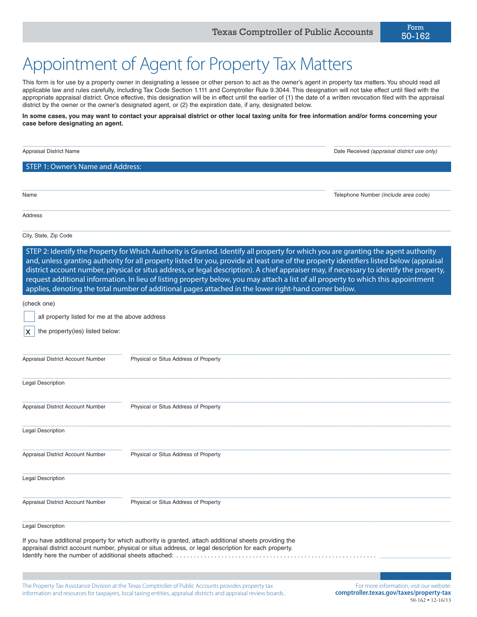## Appointment of Agent for Property Tax Matters

This form is for use by a property owner in designating a lessee or other person to act as the owner's agent in property tax matters. You should read all applicable law and rules carefully, including Tax Code Section 1.111 and Comptroller Rule 9.3044. This designation will not take effect until filed with the appropriate appraisal district. Once effective, this designation will be in effect until the earlier of (1) the date of a written revocation filed with the appraisal district by the owner or the owner's designated agent, or (2) the expiration date, if any, designated below.

**In some cases, you may want to contact your appraisal district or other local taxing units for free information and/or forms concerning your case before designating an agent.**

 $\_$  ,  $\_$  ,  $\_$  ,  $\_$  ,  $\_$  ,  $\_$  ,  $\_$  ,  $\_$  ,  $\_$  ,  $\_$  ,  $\_$  ,  $\_$  ,  $\_$  ,  $\_$  ,  $\_$  ,  $\_$  ,  $\_$  ,  $\_$  ,  $\_$  ,  $\_$  ,  $\_$  ,  $\_$  ,  $\_$  ,  $\_$  ,  $\_$  ,  $\_$  ,  $\_$  ,  $\_$  ,  $\_$  ,  $\_$  ,  $\_$  ,  $\_$  ,  $\_$  ,  $\_$  ,  $\_$  ,  $\_$  ,  $\_$  , Appraisal District Name **Date Received** *(appraisal district use only)* Date Received *(appraisal district use only)* STEP 1: Owner's Name and Address:  $\_$  , and the set of the set of the set of the set of the set of the set of the set of the set of the set of the set of the set of the set of the set of the set of the set of the set of the set of the set of the set of th Name Telephone Number *(include area code)*  $\_$  , and the set of the set of the set of the set of the set of the set of the set of the set of the set of the set of the set of the set of the set of the set of the set of the set of the set of the set of the set of th Address  $\_$  , and the set of the set of the set of the set of the set of the set of the set of the set of the set of the set of the set of the set of the set of the set of the set of the set of the set of the set of the set of th City, State, Zip Code STEP 2: Identify the Property for Which Authority is Granted. Identify all property for which you are granting the agent authority and, unless granting authority for all property listed for you, provide at least one of the property identifiers listed below (appraisal district account number, physical or situs address, or legal description). A chief appraiser may, if necessary to identify the property, request additional information. In lieu of listing property below, you may attach a list of all property to which this appointment applies, denoting the total number of additional pages attached in the lower right-hand corner below. (check one) all property listed for me at the above address the property(ies) listed below:  $\_$  , and the set of the set of the set of the set of the set of the set of the set of the set of the set of the set of the set of the set of the set of the set of the set of the set of the set of the set of the set of th Appraisal District Account Number Physical or Situs Address of Property  $\_$  , and the set of the set of the set of the set of the set of the set of the set of the set of the set of the set of the set of the set of the set of the set of the set of the set of the set of the set of the set of th Legal Description  $\_$  , and the set of the set of the set of the set of the set of the set of the set of the set of the set of the set of the set of the set of the set of the set of the set of the set of the set of the set of the set of th Appraisal District Account Number Physical or Situs Address of Property  $\_$  , and the set of the set of the set of the set of the set of the set of the set of the set of the set of the set of the set of the set of the set of the set of the set of the set of the set of the set of the set of th Legal Description  $\_$  , and the set of the set of the set of the set of the set of the set of the set of the set of the set of the set of the set of the set of the set of the set of the set of the set of the set of the set of the set of th Appraisal District Account Number Physical or Situs Address of Property  $\_$  , and the set of the set of the set of the set of the set of the set of the set of the set of the set of the set of the set of the set of the set of the set of the set of the set of the set of the set of the set of th Legal Description  $\_$  , and the set of the set of the set of the set of the set of the set of the set of the set of the set of the set of the set of the set of the set of the set of the set of the set of the set of the set of the set of th Appraisal District Account Number Physical or Situs Address of Property  $\_$  , and the set of the set of the set of the set of the set of the set of the set of the set of the set of the set of the set of the set of the set of the set of the set of the set of the set of the set of the set of th Legal Description If you have additional property for which authority is granted, attach additional sheets providing the appraisal district account number, physical or situs address, or legal description for each property. Identify here the number of additional sheets attached: ....... x

The Property Tax Assistance Division at the Texas Comptroller of Public Accounts provides property tax information and resources for taxpayers, local taxing entities, appraisal districts and appraisal review boards.